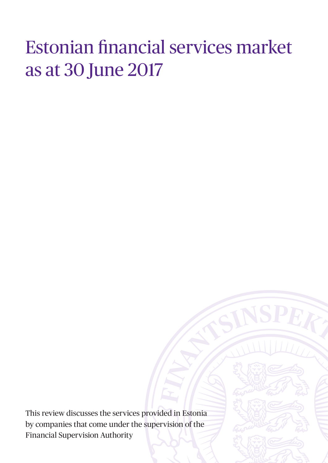# Estonian financial services market as at 30 June 2017

This review discusses the services provided in Estonia by companies that come under the supervision of the Financial Supervision Authority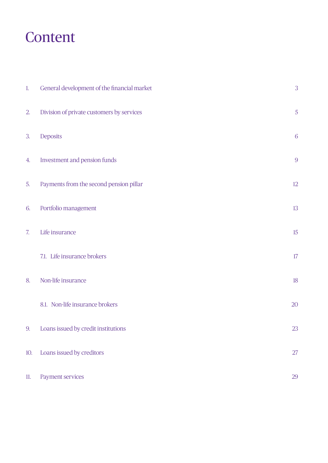# Content

| 1.  | General development of the financial market | 3              |
|-----|---------------------------------------------|----------------|
| 2.  | Division of private customers by services   | $\sqrt{5}$     |
| 3.  | Deposits                                    | 6              |
| 4.  | Investment and pension funds                | $\overline{9}$ |
| 5.  | Payments from the second pension pillar     | $12\,$         |
| 6.  | Portfolio management                        | 13             |
| 7.  | Life insurance                              | $15\,$         |
|     | 7.1. Life insurance brokers                 | $17\,$         |
| 8.  | Non-life insurance                          | $18\,$         |
|     | 8.1. Non-life insurance brokers             | 20             |
|     | 9. Loans issued by credit institutions      | 23             |
| 10. | Loans issued by creditors                   | 27             |
| 11. | Payment services                            | 29             |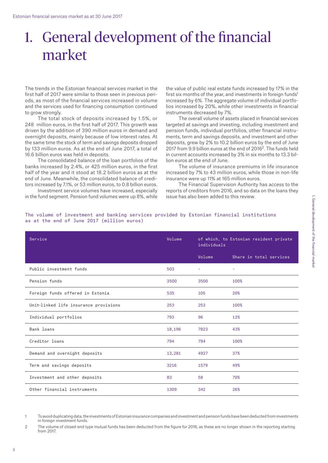# 1. General development of the financial market

The trends in the Estonian financial services market in the first half of 2017 were similar to those seen in previous periods, as most of the financial services increased in volume and the services used for financing consumption continued to grow strongly.

The total stock of deposits increased by 1.5%, or 248 million euros, in the first half of 2017. This growth was driven by the addition of 390 million euros in demand and overnight deposits, mainly because of low interest rates. At the same time the stock of term and savings deposits dropped by 133 million euros. As at the end of June 2017, a total of 16.6 billion euros was held in deposits.

The consolidated balance of the loan portfolios of the banks increased by 2.4%, or 425 million euros, in the first half of the year and it stood at 18.2 billion euros as at the end of June. Meanwhile, the consolidated balance of creditors increased by 7.1%, or 53 million euros, to 0.8 billion euros.

Investment service volumes have increased, especially in the fund segment. Pension fund volumes were up 8%, while

the value of public real estate funds increased by 17% in the first six months of the year, and investments in foreign funds<sup>1</sup> increased by 6%. The aggregate volume of individual portfolios increased by 20%, while other investments in financial instruments decreased by 7%.

The overall volume of assets placed in financial services targeted at savings and investing, including investment and pension funds, individual portfolios, other financial instruments, term and savings deposits, and investment and other deposits, grew by 2% to 10.2 billion euros by the end of June 2017 from 9.9 billion euros at the end of 20162. The funds held in current accounts increased by 3% in six months to 13.3 billion euros at the end of June.

The volume of insurance premiums in life insurance increased by 7% to 43 million euros, while those in non-life insurance were up 11% at 165 million euros.

The Financial Supervision Authority has access to the reports of creditors from 2016, and so data on the loans they issue has also been added to this review.

| Service                               | Volume | individuals | of which, to Estonian resident private |
|---------------------------------------|--------|-------------|----------------------------------------|
|                                       |        | Volume      | Share in total services                |
| Public investment funds               | 503    |             | ÷                                      |
| Pension funds                         | 3500   | 3500        | 100%                                   |
| Foreign funds offered in Estonia      | 535    | 105         | 20%                                    |
| Unit-linked life insurance provisions | 253    | 253         | 100%                                   |
| Individual portfolios                 | 793    | 96          | 12%                                    |
| Bank loans                            | 18,196 | 7823        | 43%                                    |
| Creditor loans                        | 794    | 794         | 100%                                   |
| Demand and overnight deposits         | 13,281 | 4927        | 37%                                    |
| Term and savings deposits             | 3216   | 1579        | 49%                                    |
| Investment and other deposits         | 83     | 58          | 70%                                    |
| Other financial instruments           | 1309   | 342         | 26%                                    |

#### The volume of investment and banking services provided by Estonian financial institutions as at the end of June 2017 (million euros)

1 To avoid duplicating data, the investments of Estonian insurance companies and investment and pension funds have been deducted from investments in foreign investment funds.

<sup>2</sup> The volume of closed-end type mutual funds has been deducted from the figure for 2016, as these are no longer shown in the reporting starting from 2017.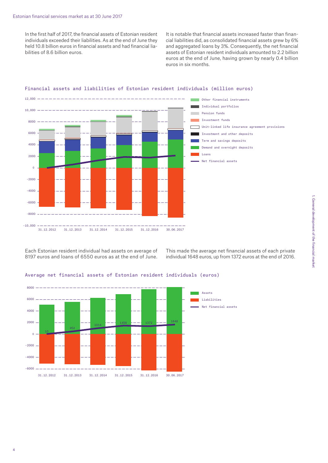In the first half of 2017, the financial assets of Estonian resident individuals exceeded their liabilities. As at the end of June they held 10.8 billion euros in financial assets and had financial liabilities of 8.6 billion euros.

It is notable that financial assets increased faster than financial liabilities did, as consolidated financial assets grew by 6% and aggregated loans by 3%. Consequently, the net financial assets of Estonian resident individuals amounted to 2.2 billion euros at the end of June, having grown by nearly 0.4 billion euros in six months.



#### Financial assets and liabilities of Estonian resident individuals (million euros)

Each Estonian resident individual had assets on average of 8197 euros and loans of 6550 euros as at the end of June.

This made the average net financial assets of each private individual 1648 euros, up from 1372 euros at the end of 2016.

#### Average net financial assets of Estonian resident individuals (euros)

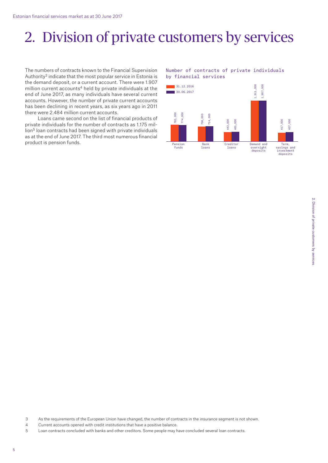# 2. Division of private customers by services

The numbers of contracts known to the Financial Supervision Authority3 indicate that the most popular service in Estonia is the demand deposit, or a current account. There were 1.907 million current accounts<sup>4</sup> held by private individuals at the end of June 2017, as many individuals have several current accounts. However, the number of private current accounts has been declining in recent years, as six years ago in 2011 there were 2.484 million current accounts.

Loans came second on the list of financial products of private individuals for the number of contracts as 1.175 million<sup>5</sup> loan contracts had been signed with private individuals as at the end of June 2017. The third most numerous financial product is pension funds.

#### Number of contracts of private individuals by financial services



- 3 As the requirements of the European Union have changed, the number of contracts in the insurance segment is not shown.
- 4 Current accounts opened with credit institutions that have a positive balance.
- 5 Loan contracts concluded with banks and other creditors. Some people may have concluded several loan contracts.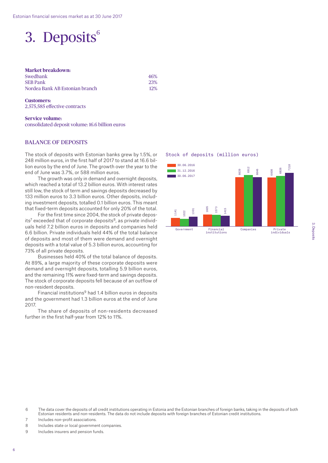### 3. Deposits<sup>6</sup>

#### **Market breakdown:**

| Swedbank                       | 46% |
|--------------------------------|-----|
| <b>SEB Pank</b>                | 23% |
| Nordea Bank AB Estonian branch | 12% |

#### **Customers:**  2,575,585 effective contracts

**Service volume:** 

consolidated deposit volume: 16.6 billion euros

#### Balance of deposits

The stock of deposits with Estonian banks grew by 1.5%, or 248 million euros, in the first half of 2017 to stand at 16.6 billion euros by the end of June. The growth over the year to the end of June was 3.7%, or 588 million euros.

The growth was only in demand and overnight deposits, which reached a total of 13.2 billion euros. With interest rates still low, the stock of term and savings deposits decreased by 133 million euros to 3.3 billion euros. Other deposits, including investment deposits, totalled 0.1 billion euros. This meant that fixed-term deposits accounted for only 20% of the total.

For the first time since 2004, the stock of private deposits<sup>7</sup> exceeded that of corporate deposits $8$ , as private individuals held 7.2 billion euros in deposits and companies held 6.6 billion. Private individuals held 44% of the total balance of deposits and most of them were demand and overnight deposits with a total value of 5.3 billion euros, accounting for 73% of all private deposits.

Businesses held 40% of the total balance of deposits. At 89%, a large majority of these corporate deposits were demand and overnight deposits, totalling 5.9 billion euros, and the remaining 11% were fixed-term and savings deposits. The stock of corporate deposits fell because of an outflow of non-resident deposits.

Financial institutions9 had 1.4 billion euros in deposits and the government had 1.3 billion euros at the end of June 2017.

The share of deposits of non-residents decreased further in the first half-year from 12% to 11%.

#### Stock of deposits (million euros)



- 6 The data cover the deposits of all credit institutions operating in Estonia and the Estonian branches of foreign banks, taking in the deposits of both Estonian residents and non-residents. The data do not include deposits with foreign branches of Estonian credit institutions.
- 7 Includes non-profit associations.
- 8 Includes state or local government companies.
- 9 Includes insurers and pension funds.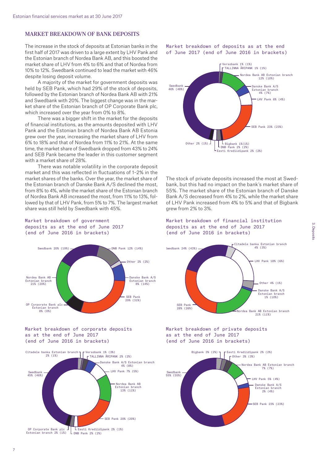#### Market breakdown of bank deposits

The increase in the stock of deposits at Estonian banks in the first half of 2017 was driven to a large extent by LHV Pank and the Estonian branch of Nordea Bank AB, and this boosted the market share of LHV from 4% to 6% and that of Nordea from 10% to 12%. Swedbank continued to lead the market with 46% despite losing deposit volume.

A majority of the market for government deposits was held by SEB Pank, which had 29% of the stock of deposits, followed by the Estonian branch of Nordea Bank AB with 21% and Swedbank with 20%. The biggest change was in the market share of the Estonian branch of OP Corporate Bank plc, which increased over the year from 0% to 8%.

There was a bigger shift in the market for the deposits of financial institutions, as the amounts deposited with LHV Pank and the Estonian branch of Nordea Bank AB Estonia grew over the year, increasing the market share of LHV from 6% to 18% and that of Nordea from 11% to 21%. At the same time, the market share of Swedbank dropped from 43% to 24% and SEB Pank became the leader in this customer segment with a market share of 28%.

There was notable volatility in the corporate deposit market and this was reflected in fluctuations of 1–2% in the market shares of the banks. Over the year, the market share of the Estonian branch of Danske Bank A/S declined the most, from 8% to 4%, while the market share of the Estonian branch of Nordea Bank AB increased the most, from 11% to 13%, followed by that of LHV Pank, from 5% to 7%. The largest market share was still held by Swedbank with 45%.

Market breakdown of government deposits as at the end of June 2017 (end of June 2016 in brackets)



#### Market breakdown of corporate deposits as at the end of June 2017 (end of June 2016 in brackets)



Market breakdown of deposits as at the end of June 2017 (end of June 2016 in brackets)



The stock of private deposits increased the most at Swedbank, but this had no impact on the bank's market share of 55%. The market share of the Estonian branch of Danske Bank A/S decreased from 4% to 2%, while the market share of LHV Pank increased from 4% to 5% and that of Bigbank grew from 2% to 3%.





Market breakdown of private deposits as at the end of June 2017 (end of June 2016 in brackets)

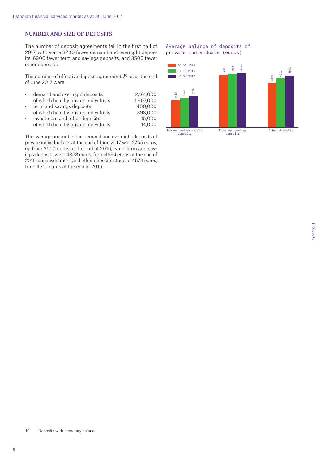#### Number and size of deposits

The number of deposit agreements fell in the first half of 2017, with some 3200 fewer demand and overnight deposits, 6900 fewer term and savings deposits, and 3500 fewer other deposits.

The number of effective deposit agreements<sup>10</sup> as at the end of June 2017 were:

| $\bullet$ | demand and overnight deposits        | 2.161.000 |
|-----------|--------------------------------------|-----------|
|           | of which held by private individuals | 1,907,000 |
| $\bullet$ | term and savings deposits            | 400,000   |
|           | of which held by private individuals | 393,000   |
| $\bullet$ | investment and other deposits        | 15,000    |
|           | of which held by private individuals | 14,000    |

The average amount in the demand and overnight deposits of private individuals as at the end of June 2017 was 2755 euros, up from 2550 euros at the end of 2016, while term and savings deposits were 4838 euros, from 4694 euros at the end of 2016, and investment and other deposits stood at 4573 euros, from 4310 euros at the end of 2016.

#### Average balance of deposits of private individuals (euros)

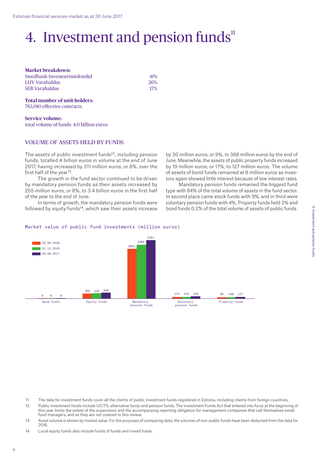# 4. Investment and pension funds<sup>11</sup>

**Market breakdown:**  Swedbank Investeerimisfondid 41% LHV Varahaldus 26% SEB Varahaldus 17%

#### **Total number of unit-holders:** 783,010 effective contracts

**Service volume:**  total volume of funds: 4.0 billion euros

#### Volume of assets held by funds

The assets of public investment funds<sup>12</sup>, including pension funds, totalled 4 billion euros in volume at the end of June 2017, having increased by 311 million euros, or 8%, over the first half of the year<sup>13</sup>.

The growth in the fund sector continued to be driven by mandatory pension funds as their assets increased by 255 million euros, or 8%, to 3.4 billion euros in the first half of the year to the end of June.

In terms of growth, the mandatory pension funds were followed by equity funds<sup>14</sup>, which saw their assets increase by 30 million euros, or 9%, to 368 million euros by the end of June. Meanwhile, the assets of public property funds increased by 19 million euros, or 17%, to 127 million euros. The volume of assets of bond funds remained at 8 million euros as investors again showed little interest because of low interest rates.

Mandatory pension funds remained the biggest fund type with 84% of the total volume of assets in the fund sector. In second place came stock funds with 9%, and in third were voluntary pension funds with 4%. Property funds held 3% and bond funds 0.2% of the total volume of assets of public funds.

#### Market value of public fund investments (million euros)



4. Investment and pension funds

4. Investment and pension tunds

- 11 The data for investment funds cover all the clients of public investment funds registered in Estonia, including clients from foreign countries.
- 12 Public investment funds include UCITS, alternative funds and pension funds. The Investment Funds Act that entered into force at the beginning of this year limits the extent of the supervision and the accompanying reporting obligation for management companies that call themselves small fund managers, and so they are not covered in this review.
- 13 Asset volume is shown by market value. For the purposes of comparing data, the volumes of non-public funds have been deducted from the data for 2016.
- 14 Local equity funds also include funds of funds and mixed funds.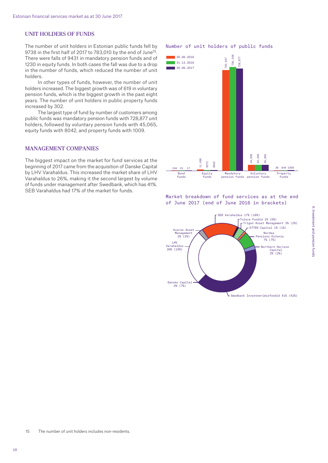#### Unit holders of funds

The number of unit holders in Estonian public funds fell by 9738 in the first half of 2017 to 783,010 by the end of June<sup>15</sup>. There were falls of 9431 in mandatory pension funds and of 1230 in equity funds. In both cases the fall was due to a drop in the number of funds, which reduced the number of unit holders.

In other types of funds, however, the number of unit holders increased. The biggest growth was of 619 in voluntary pension funds, which is the biggest growth in the past eight years. The number of unit holders in public property funds increased by 302.

The largest type of fund by number of customers among public funds was mandatory pension funds with 728,877 unit holders, followed by voluntary pension funds with 45,065, equity funds with 8042, and property funds with 1009.

#### Management companies

The biggest impact on the market for fund services at the beginning of 2017 came from the acquisition of Danske Capital by LHV Varahaldus. This increased the market share of LHV Varahaldus to 26%, making it the second largest by volume of funds under management after Swedbank, which has 41%. SEB Varahaldus had 17% of the market for funds.

#### Number of unit holders of public funds



Market breakdown of fund services as at the end of June 2017 (end of June 2016 in brackets)



15 The number of unit holders includes non-residents.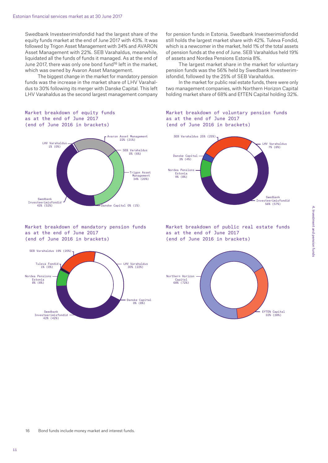Swedbank Investeerimisfondid had the largest share of the equity funds market at the end of June 2017 with 43%. It was followed by Trigon Asset Management with 34% and AVARON Asset Management with 22%. SEB Varahaldus, meanwhile, liquidated all the funds of funds it managed. As at the end of June 2017, there was only one bond fund<sup>16</sup> left in the market. which was owned by Avaron Asset Management.

The biggest change in the market for mandatory pension funds was the increase in the market share of LHV Varahaldus to 30% following its merger with Danske Capital. This left LHV Varahaldus as the second largest management company

for pension funds in Estonia. Swedbank Investeerimisfondid still holds the largest market share with 42%. Tuleva Fondid, which is a newcomer in the market, held 1% of the total assets of pension funds at the end of June. SEB Varahaldus held 19% of assets and Nordea Pensions Estonia 8%.

The largest market share in the market for voluntary pension funds was the 56% held by Swedbank Investeerimisfondid, followed by the 25% of SEB Varahaldus.

In the market for public real estate funds, there were only two management companies, with Northern Horizon Capital holding market share of 68% and EfTEN Capital holding 32%.

#### Market breakdown of equity funds as at the end of June 2017 (end of June 2016 in brackets)



#### Market breakdown of mandatory pension funds as at the end of June 2017 (end of June 2016 in brackets)



#### Market breakdown of voluntary pension funds as at the end of June 2017 (end of June 2016 in brackets)



Market breakdown of public real estate funds as at the end of June 2017 (end of June 2016 in brackets)

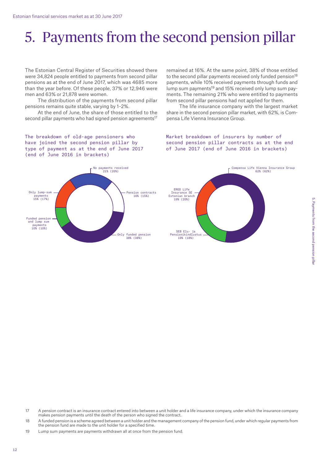# 5. Payments from the second pension pillar

The Estonian Central Register of Securities showed there were 34,824 people entitled to payments from second pillar pensions as at the end of June 2017, which was 4685 more than the year before. Of these people, 37% or 12,946 were men and 63% or 21,878 were women.

The distribution of the payments from second pillar pensions remains quite stable, varying by 1–2%.

At the end of June, the share of those entitled to the second pillar payments who had signed pension agreements<sup>17</sup> remained at 16%. At the same point, 38% of those entitled to the second pillar payments received only funded pension<sup>18</sup> payments, while 10% received payments through funds and lump sum payments<sup>19</sup> and 15% received only lump sum payments. The remaining 21% who were entitled to payments from second pillar pensions had not applied for them.

The life insurance company with the largest market share in the second pension pillar market, with 62%, is Compensa Life Vienna Insurance Group.

The breakdown of old-age pensioners who have joined the second pension pillar by type of payment as at the end of June 2017 (end of June 2016 in brackets)



Market breakdown of insurers by number of second pension pillar contracts as at the end of June 2017 (end of June 2016 in brackets)



- 17 A pension contract is an insurance contract entered into between a unit holder and a life insurance company, under which the insurance company makes pension payments until the death of the person who signed the contract.
- 18 A funded pension is a scheme agreed between a unit holder and the management company of the pension fund, under which regular payments from the pension fund are made to the unit holder for a specified time.
- 19 Lump sum payments are payments withdrawn all at once from the pension fund.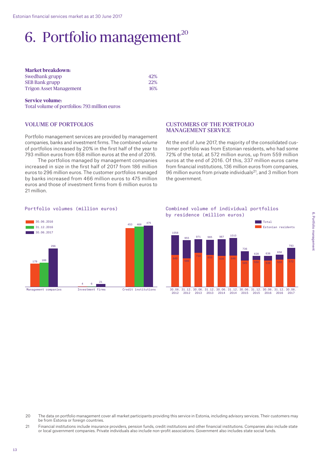# 6. Portfolio management $^{20}$

| <b>Market breakdown:</b>       |            |  |
|--------------------------------|------------|--|
| Swedbank grupp                 | 42%        |  |
| <b>SEB Bank grupp</b>          | <b>22%</b> |  |
| <b>Trigon Asset Management</b> | 16%        |  |

#### **Service volume:**

Total volume of portfolios: 793 million euros

#### Volume of portfolios

Portfolio management services are provided by management companies, banks and investment firms. The combined volume of portfolios increased by 20% in the first half of the year to 793 million euros from 658 million euros at the end of 2016.

The portfolios managed by management companies increased in size in the first half of 2017 from 186 million euros to 296 million euros. The customer portfolios managed by banks increased from 466 million euros to 475 million euros and those of investment firms from 6 million euros to 21 million.

#### Customers of the portfolio management service

At the end of June 2017, the majority of the consolidated customer portfolio was from Estonian residents, who had some 72% of the total, at 572 million euros, up from 559 million euros at the end of 2016. Of this, 337 million euros came from financial institutions, 136 million euros from companies, 96 million euros from private individuals<sup>21</sup>, and 3 million from the government.

#### Portfolio volumes (million euros)



Combined volume of individual portfolios by residence (million euros)



- 20 The data on portfolio management cover all market participants providing this service in Estonia, including advisory services. Their customers may be from Estonia or foreign countries.
- 21 Financial institutions include insurance providers, pension funds, credit institutions and other financial institutions. Companies also include state or local government companies. Private individuals also include non-profit associations. Government also includes state social funds.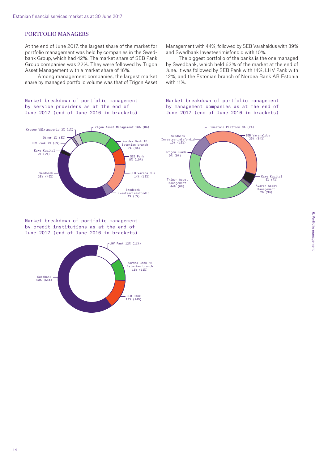#### PORTFOLIO MANAGERS

At the end of June 2017, the largest share of the market for portfolio management was held by companies in the Swedbank Group, which had 42%. The market share of SEB Pank Group companies was 22%. They were followed by Trigon Asset Management with a market share of 16%.

Among management companies, the largest market share by managed portfolio volume was that of Trigon Asset

#### Market breakdown of portfolio management by service providers as at the end of June 2017 (end of June 2016 in brackets)



Market breakdown of portfolio management by credit institutions as at the end of June 2017 (end of June 2016 in brackets)



Management with 44%, followed by SEB Varahaldus with 39% and Swedbank Investeerimisfondid with 10%.

The biggest portfolio of the banks is the one managed by Swedbank, which held 63% of the market at the end of June. It was followed by SEB Pank with 14%, LHV Pank with 12%, and the Estonian branch of Nordea Bank AB Estonia with 11%.

#### Market breakdown of portfolio management by management companies as at the end of June 2017 (end of June 2016 in brackets)

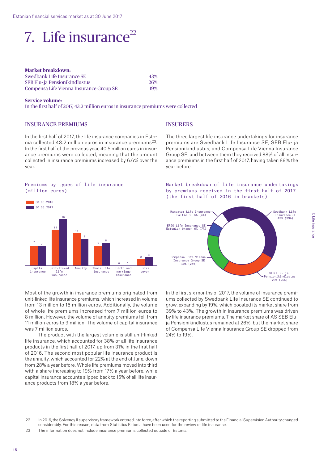# 7. Life insurance $^{22}$

| <b>Market breakdown:</b>                |     |
|-----------------------------------------|-----|
| Swedbank Life Insurance SE              | 43% |
| SEB Elu- ja Pensionikindlustus          | 26% |
| Compensa Life Vienna Insurance Group SE | 19% |

#### **Service volume:**

In the first half of 2017, 43.2 million euros in insurance premiums were collected

#### Insurance premiums

In the first half of 2017, the life insurance companies in Estonia collected 43.2 million euros in insurance premiums<sup>23</sup>. In the first half of the previous year, 40.5 million euros in insurance premiums were collected, meaning that the amount collected in insurance premiums increased by 6.6% over the year.

#### Premiums by types of life insurance (million euros)



Most of the growth in insurance premiums originated from unit-linked life insurance premiums, which increased in volume from 13 million to 16 million euros. Additionally, the volume of whole life premiums increased from 7 million euros to 8 million. However, the volume of annuity premiums fell from 11 million euros to 9 million. The volume of capital insurance was 7 million euros.

The product with the largest volume is still unit-linked life insurance, which accounted for 38% of all life insurance products in the first half of 2017, up from 31% in the first half of 2016. The second most popular life insurance product is the annuity, which accounted for 22% at the end of June, down from 28% a year before. Whole life premiums moved into third with a share increasing to 19% from 17% a year before, while capital insurance accounts slipped back to 15% of all life insurance products from 18% a year before.

#### **INSURERS**

The three largest life insurance undertakings for insurance premiums are Swedbank Life Insurance SE, SEB Elu- ja Pensionikindlustus, and Compensa Life Vienna Insurance Group SE, and between them they received 88% of all insurance premiums in the first half of 2017, having taken 89% the year before.

#### Market breakdown of life insurance undertakings by premiums received in the first half of 2017 (the first half of 2016 in brackets)



In the first six months of 2017, the volume of insurance premiums collected by Swedbank Life Insurance SE continued to grow, expanding by 19%, which boosted its market share from 39% to 43%. The growth in insurance premiums was driven by life insurance premiums. The market share of AS SEB Eluja Pensionikindlustus remained at 26%, but the market share of Compensa Life Vienna Insurance Group SE dropped from 24% to 19%.

23 The information does not include insurance premiums collected outside of Estonia.

<sup>22</sup> In 2016, the Solvency II supervisory framework entered into force, after which the reporting submitted to the Financial Supervision Authority changed considerably. For this reason, data from Statistics Estonia have been used for the review of life insurance.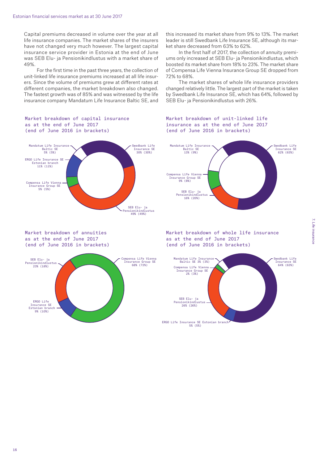Capital premiums decreased in volume over the year at all life insurance companies. The market shares of the insurers have not changed very much however. The largest capital insurance service provider in Estonia at the end of June was SEB Elu- ja Pensionikindlustus with a market share of 49%.

For the first time in the past three years, the collection of unit-linked life insurance premiums increased at all life insurers. Since the volume of premiums grew at different rates at different companies, the market breakdown also changed. The fastest growth was of 85% and was witnessed by the life insurance company Mandatum Life Insurance Baltic SE, and

Market breakdown of capital insurance

as at the end of June 2017 (end of June 2016 in brackets)

Mandatum Life Insurance Baltic SE 5% (5%) Swedbank Life<br>Tnsurance SE Insurance SE 30% (30%) SEB Elu- ja Pensionikindlustus 49% (49%) ERGO Life Insurance SE Estonian branch 11% (11%) Compensa Life Vienna Insurance Group SE 5% (5%)

Market breakdown of annuities as at the end of June 2017 (end of June 2016 in brackets)



this increased its market share from 9% to 13%. The market leader is still Swedbank Life Insurance SE, although its market share decreased from 63% to 62%.

In the first half of 2017, the collection of annuity premiums only increased at SEB Elu- ja Pensionikindlustus, which boosted its market share from 18% to 23%. The market share of Compensa Life Vienna Insurance Group SE dropped from 72% to 68%.

The market shares of whole life insurance providers changed relatively little. The largest part of the market is taken by Swedbank Life Insurance SE, which has 64%, followed by SEB Elu- ja Pensionikindlustus with 26%.

Market breakdown of unit-linked life insurance as at the end of June 2017 (end of June 2016 in brackets)



Market breakdown of whole life insurance as at the end of June 2017 (end of June 2016 in brackets)

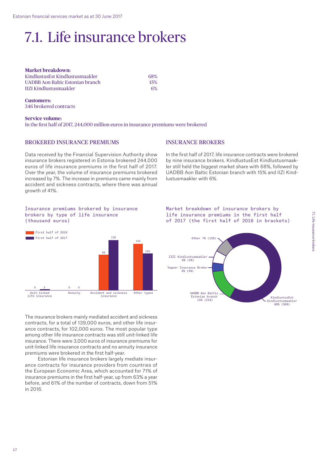# 7.1. Life insurance brokers

| <b>Market breakdown:</b>         |     |
|----------------------------------|-----|
| KindlustusEst Kindlustusmaakler  | 68% |
| UADBB Aon Baltic Estonian branch | 15% |
| <b>IIZI Kindlustusmaakler</b>    | 6%  |

**Customers:** 346 brokered contracts

**Service volume:**  In the first half of 2017, 244,000 million euros in insurance premiums were brokered

#### Brokered insurance premiums

Data received by the Financial Supervision Authority show insurance brokers registered in Estonia brokered 244,000 euros of life insurance premiums in the first half of 2017. Over the year, the volume of insurance premiums brokered increased by 7%. The increase in premiums came mainly from accident and sickness contracts, where there was annual growth of 41%.

#### Insurance brokers

In the first half of 2017, life insurance contracts were brokered by nine insurance brokers. KindlustusEst Kindlustusmaakler still held the biggest market share with 68%, followed by UADBB Aon Baltic Estonian branch with 15% and IIZI Kindlustusmaakler with 6%.

#### Insurance premiums brokered by insurance brokers by type of life insurance (thousand euros)



The insurance brokers mainly mediated accident and sickness contracts, for a total of 139,000 euros, and other life insurance contracts, for 102,000 euros. The most popular type among other life insurance contracts was still unit-linked life insurance. There were 3,000 euros of insurance premiums for unit-linked life insurance contracts and no annuity insurance premiums were brokered in the first half-year.

Estonian life insurance brokers largely mediate insurance contracts for insurance providers from countries of the European Economic Area, which accounted for 71% of insurance premiums in the first half-year, up from 63% a year before, and 61% of the number of contracts, down from 51% in 2016.



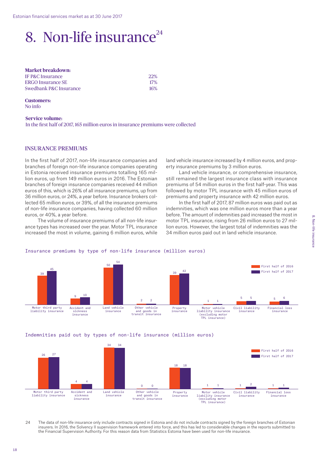# 8. Non-life insurance $^{24}$

| <b>22%</b> |
|------------|
| 17%        |
| 16%        |
|            |

**Customers:**  No info

#### **Service volume:**  In the first half of 2017, 165 million euros in insurance premiums were collected

#### Insurance premiums

In the first half of 2017, non-life insurance companies and branches of foreign non-life insurance companies operating in Estonia received insurance premiums totalling 165 million euros, up from 149 million euros in 2016. The Estonian branches of foreign insurance companies received 44 million euros of this, which is 26% of all insurance premiums, up from 36 million euros, or 24%, a year before. Insurance brokers collected 65 million euros, or 39%, of all the insurance premiums of non-life insurance companies, having collected 60 million euros, or 40%, a year before.

The volume of insurance premiums of all non-life insurance types has increased over the year. Motor TPL insurance increased the most in volume, gaining 6 million euros, while land vehicle insurance increased by 4 million euros, and property insurance premiums by 3 million euros.

Land vehicle insurance, or comprehensive insurance, still remained the largest insurance class with insurance premiums of 54 million euros in the first half-year. This was followed by motor TPL insurance with 45 million euros of premiums and property insurance with 42 million euros.

In the first half of 2017, 87 million euros was paid out as indemnities, which was one million euros more than a year before. The amount of indemnities paid increased the most in motor TPL insurance, rising from 26 million euros to 27 million euros. However, the largest total of indemnities was the 34 million euros paid out in land vehicle insurance.



#### Insurance premiums by type of non-life insurance (million euros)





24 The data of non-life insurance only include contracts signed in Estonia and do not include contracts signed by the foreign branches of Estonian insurers. In 2016, the Solvency II supervision framework entered into force, and this has led to considerable changes in the reports submitted to the Financial Supervision Authority. For this reason data from Statistics Estonia have been used for non-life insurance.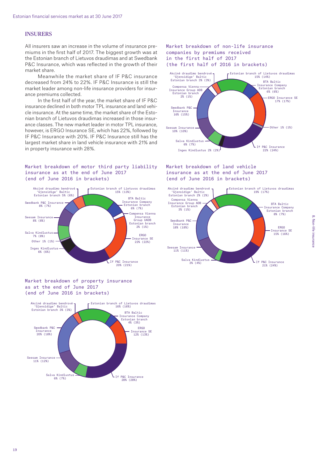#### **INSURERS**

All insurers saw an increase in the volume of insurance premiums in the first half of 2017. The biggest growth was at the Estonian branch of Lietuvos draudimas and at Swedbank P&C Insurance, which was reflected in the growth of their market share.

Meanwhile the market share of IF P&C insurance decreased from 24% to 22%. IF P&C Insurance is still the market leader among non-life insurance providers for insurance premiums collected.

In the first half of the year, the market share of IF P&C insurance declined in both motor TPL insurance and land vehicle insurance. At the same time, the market share of the Estonian branch of Lietuvos draudimas increased in those insurance classes. The new market leader in motor TPL insurance, however, is ERGO Insurance SE, which has 22%, followed by IF P&C Insurance with 20%. IF P&C Insurance still has the largest market share in land vehicle insurance with 21% and in property insurance with 28%.

#### Market breakdown of motor third party liability insurance as at the end of June 2017 (end of June 2016 in brackets)



Market breakdown of property insurance as at the end of June 2017 (end of June 2016 in brackets)



Market breakdown of non-life insurance companies by premiums received in the first half of 2017 (the first half of 2016 in brackets)



#### Market breakdown of land vehicle insurance as at the end of June 2017 (end of June 2016 in brackets)

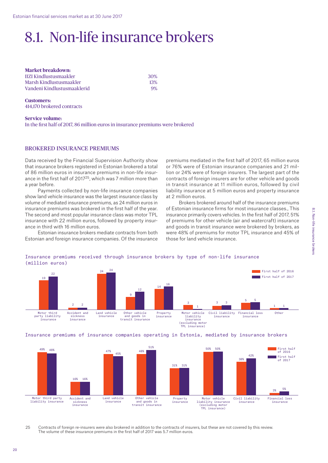# 8.1. Non-life insurance brokers

| <b>Market breakdown:</b>      |     |
|-------------------------------|-----|
| <b>IIZI Kindlustusmaakler</b> | 30% |
| Marsh Kindlustusmaakler       | 13% |
| Vandeni Kindlustusmaaklerid   | 9%  |

**Customers:**  414,170 brokered contracts

**Service volume:**  In the first half of 2017, 86 million euros in insurance premiums were brokered

#### Brokered insurance premiums

Data received by the Financial Supervision Authority show that insurance brokers registered in Estonian brokered a total of 86 million euros in insurance premiums in non-life insurance in the first half of 201725, which was 7 million more than a year before.

Payments collected by non-life insurance companies show land vehicle insurance was the largest insurance class by volume of mediated insurance premiums, as 24 million euros in insurance premiums was brokered in the first half of the year. The second and most popular insurance class was motor TPL insurance with 22 million euros, followed by property insurance in third with 16 million euros.

Estonian insurance brokers mediate contracts from both Estonian and foreign insurance companies. Of the insurance

premiums mediated in the first half of 2017, 65 million euros or 76% were of Estonian insurance companies and 21 million or 24% were of foreign insurers. The largest part of the contracts of foreign insurers are for other vehicle and goods in transit insurance at 11 million euros, followed by civil liability insurance at 5 million euros and property insurance at 2 million euros.

Brokers brokered around half of the insurance premiums of Estonian insurance firms for most insurance classes., This insurance primarily covers vehicles. In the first half of 2017, 51% of premiums for other vehicle (air and watercraft) insurance and goods in transit insurance were brokered by brokers, as were 48% of premiums for motor TPL insurance and 45% of those for land vehicle insurance.



(excluding motor TPL insurance)

#### Insurance premiums received through insurance brokers by type of non-life insurance (million euros)

#### Insurance premiums of insurance companies operating in Estonia, mediated by insurance brokers



25 Contracts of foreign re-insurers were also brokered in addition to the contracts of insurers, but these are not covered by this review. The volume of these insurance premiums in the first half of 2017 was 5.7 million euros.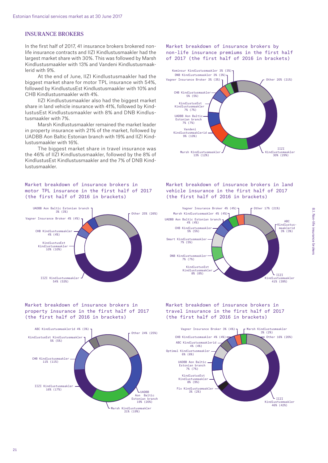#### Insurance brokers

In the first half of 2017, 41 insurance brokers brokered nonlife insurance contracts and IIZI Kindlustusmaakler had the largest market share with 30%. This was followed by Marsh Kindlustusmaakler with 13% and Vandeni Kindlustusmaaklerid with 9%.

At the end of June, IIZI Kindlustusmaakler had the biggest market share for motor TPL insurance with 54%, followed by KindlustusEst Kindlustusmaakler with 10% and CHB Kindlustusmaakler with 4%.

IIZI Kindlustusmaakler also had the biggest market share in land vehicle insurance with 41%, followed by KindlustusEst Kindlustusmaakler with 8% and DNB Kindlustusmaakler with 7%.

Marsh Kindlustusmaakler remained the market leader in property insurance with 21% of the market, followed by UADBB Aon Baltic Estonian branch with 19% and IIZI Kindlustusmaakler with 16%.

The biggest market share in travel insurance was the 46% of IIZI Kindlustusmaakler, followed by the 8% of KindlustusEst Kindlustusmaakler and the 7% of DNB Kindlustusmaakler.

#### Market breakdown of insurance brokers in motor TPL insurance in the first half of 2017 (the first half of 2016 in brackets)



Market breakdown of insurance brokers in property insurance in the first half of 2017 (the first half of 2016 in brackets)



Market breakdown of insurance brokers by non-life insurance premiums in the first half of 2017 (the first half of 2016 in brackets)



Market breakdown of insurance brokers in land vehicle insurance in the first half of 2017 (the first half of 2016 in brackets)



Market breakdown of insurance brokers in travel insurance in the first half of 2017 the first half of 2016 in brackets)

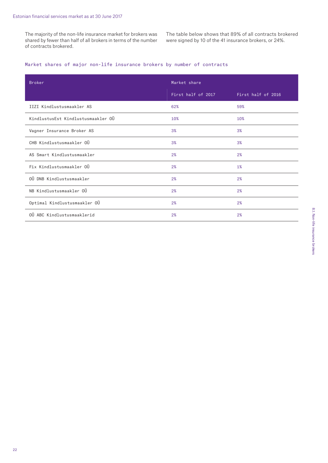The majority of the non-life insurance market for brokers was shared by fewer than half of all brokers in terms of the number of contracts brokered.

The table below shows that 89% of all contracts brokered were signed by 10 of the 41 insurance brokers, or 24%.

#### Market shares of major non-life insurance brokers by number of contracts

| <b>Broker</b>                      | Market share       |                    |  |
|------------------------------------|--------------------|--------------------|--|
|                                    | First half of 2017 | First half of 2016 |  |
| IIZI Kindlustusmaakler AS          | 62%                | 59%                |  |
| KindlustusEst Kindlustusmaakler OÜ | 10%                | 10%                |  |
| Vagner Insurance Broker AS         | 3%                 | 3%                 |  |
| CHB Kindlustusmaakler OÜ           | 3%                 | 3%                 |  |
| AS Smart Kindlustusmaakler         | 2%                 | 2%                 |  |
| Fix Kindlustusmaakler OÜ           | 2%                 | 1%                 |  |
| OÜ DNB Kindlustusmaakler           | 2%                 | 2%                 |  |
| NB Kindlustusmaakler OÜ            | 2%                 | 2%                 |  |
| Optimal Kindlustusmaakler OÜ       | 2%                 | 2%                 |  |
| OÜ ABC Kindlustusmaaklerid         | 2%                 | 2%                 |  |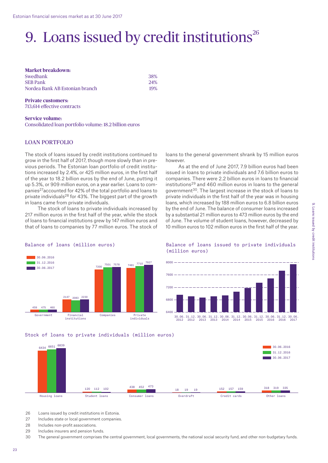# 9. Loans issued by credit institutions $26$

**Market breakdown:**  Swedbank 38% SEB Pank 24%

Nordea Bank AB Estonian branch 19%

**Private customers:** 713,614 effective contracts

**Service volume:**  Consolidated loan portfolio volume: 18.2 billion euros

#### Loan portfolio

The stock of loans issued by credit institutions continued to grow in the first half of 2017, though more slowly than in previous periods. The Estonian loan portfolio of credit institutions increased by 2.4%, or 425 million euros, in the first half of the year to 18.2 billion euros by the end of June, putting it up 5.3%, or 909 million euros, on a year earlier. Loans to companies27accounted for 42% of the total portfolio and loans to private individuals<sup>28</sup> for 43%. The biggest part of the growth in loans came from private individuals.

The stock of loans to private individuals increased by 217 million euros in the first half of the year, while the stock of loans to financial institutions grew by 147 million euros and that of loans to companies by 77 million euros. The stock of loans to the general government shrank by 15 million euros however.

As at the end of June 2017, 7.9 billion euros had been issued in loans to private individuals and 7.6 billion euros to companies. There were 2.2 billion euros in loans to financial institutions29 and 460 million euros in loans to the general government30. The largest increase in the stock of loans to private individuals in the first half of the year was in housing loans, which increased by 188 million euros to 6.8 billion euros by the end of June. The balance of consumer loans increased by a substantial 21 million euros to 473 million euros by the end of June. The volume of student loans, however, decreased by 10 million euros to 102 million euros in the first half of the year.



#### Balance of loans (million euros)

#### Balance of loans issued to private individuals (million euros)



2014

2014

2015

2015



2012

2012

2013

2013

- 26 Loans issued by credit institutions in Estonia.
- 27 Includes state or local government companies
- 28 Includes non-profit associations.
- 29 Includes insurers and pension funds.

30 The general government comprises the central government, local governments, the national social security fund, and other non-budgetary funds.

2017

2016

2016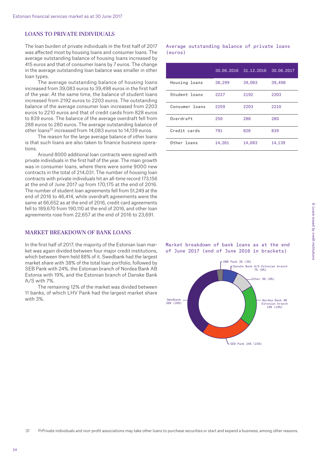#### Loans to private individuals

The loan burden of private individuals in the first half of 2017 was affected most by housing loans and consumer loans. The average outstanding balance of housing loans increased by 415 euros and that of consumer loans by 7 euros. The change in the average outstanding loan balance was smaller in other loan types.

The average outstanding balance of housing loans increased from 39,083 euros to 39,498 euros in the first half of the year. At the same time, the balance of student loans increased from 2192 euros to 2203 euros. The outstanding balance of the average consumer loan increased from 2203 euros to 2210 euros and that of credit cards from 828 euros to 839 euros. The balance of the average overdraft fell from 288 euros to 280 euros. The average outstanding balance of other loans<sup>31</sup> increased from 14,083 euros to 14,139 euros.

The reason for the large average balance of other loans is that such loans are also taken to finance business operations.

Around 8000 additional loan contracts were signed with private individuals in the first half of the year. The main growth was in consumer loans, where there were some 9000 new contracts in the total of 214,031. The number of housing loan contracts with private individuals hit an all-time record 173,156 at the end of June 2017 up from 170,175 at the end of 2016. The number of student loan agreements fell from 51,249 at the end of 2016 to 46,414, while overdraft agreements were the same at 66,652 as at the end of 2016, credit card agreements fell to 189,670 from 190,110 at the end of 2016, and other loan agreements rose from 22,657 at the end of 2016 to 23,691.

#### Market breakdown of bank loans

In the first half of 2017, the majority of the Estonian loan market was again divided between four major credit institutions, which between them held 88% of it. Swedbank had the largest market share with 38% of the total loan portfolio, followed by SEB Pank with 24%, the Estonian branch of Nordea Bank AB Estonia with 19%, and the Estonian branch of Danske Bank A/S with 7%.

The remaining 12% of the market was divided between 11 banks, of which LHV Pank had the largest market share with 3%.

Average outstanding balance of private loans (euros)

|                | 30.06, 2016 | 31.12.2016 | 30.06.2017 |
|----------------|-------------|------------|------------|
| Housing loans  | 38,299      | 39,083     | 39,498     |
| Student loans  | 2227        | 2192       | 2203       |
| Consumer loans | 2259        | 2203       | 2210       |
| Overdraft      | 250         | 288        | 280        |
| Credit cards   | 791         | 828        | 839        |
| Other loans    | 14,261      | 14,083     | 14,139     |

Market breakdown of bank loans as at the end of June 2017 (end of June 2016 in brackets)

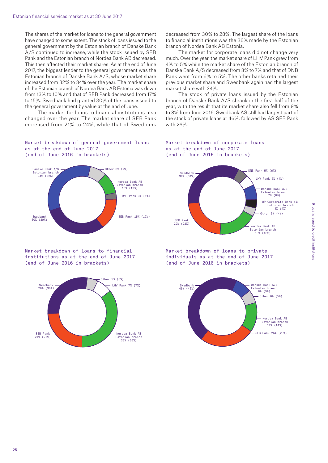The shares of the market for loans to the general government have changed to some extent. The stock of loans issued to the general government by the Estonian branch of Danske Bank A/S continued to increase, while the stock issued by SEB Pank and the Estonian branch of Nordea Bank AB decreased. This then affected their market shares. As at the end of June 2017, the biggest lender to the general government was the Estonian branch of Danske Bank A/S, whose market share increased from 32% to 34% over the year. The market share of the Estonian branch of Nordea Bank AB Estonia was down from 13% to 10% and that of SEB Pank decreased from 17% to 15%. Swedbank had granted 30% of the loans issued to the general government by value at the end of June.

The market for loans to financial institutions also changed over the year. The market share of SEB Pank increased from 21% to 24%, while that of Swedbank

#### Market breakdown of general government loans as at the end of June 2017 (end of June 2016 in brackets)



Market breakdown of loans to financial institutions as at the end of June 2017 (end of June 2016 in brackets)



decreased from 30% to 28%. The largest share of the loans to financial institutions was the 36% made by the Estonian branch of Nordea Bank AB Estonia.

The market for corporate loans did not change very much. Over the year, the market share of LHV Pank grew from 4% to 5% while the market share of the Estonian branch of Danske Bank A/S decreased from 8% to 7% and that of DNB Pank went from 6% to 5%. The other banks retained their previous market share and Swedbank again had the largest market share with 34%.

The stock of private loans issued by the Estonian branch of Danske Bank A/S shrank in the first half of the year, with the result that its market share also fell from 9% to 8% from June 2016. Swedbank AS still had largest part of the stock of private loans at 46%, followed by AS SEB Pank with 26%.

#### Market breakdown of corporate loans as at the end of June 2017 (end of June 2016 in brackets)



Market breakdown of loans to private individuals as at the end of June 2017 (end of June 2016 in brackets)

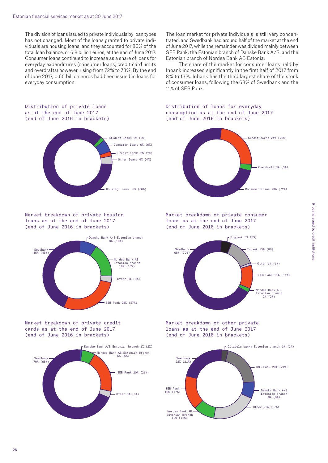The division of loans issued to private individuals by loan types has not changed. Most of the loans granted to private individuals are housing loans, and they accounted for 86% of the total loan balance, or 6.8 billion euros, at the end of June 2017. Consumer loans continued to increase as a share of loans for everyday expenditures (consumer loans, credit card limits and overdrafts) however, rising from 72% to 73%. By the end of June 2017, 0.65 billion euros had been issued in loans for everyday consumption.

The loan market for private individuals is still very concentrated, and Swedbank had around half of the market at the end of June 2017, while the remainder was divided mainly between SEB Pank, the Estonian branch of Danske Bank A/S, and the Estonian branch of Nordea Bank AB Estonia.

The share of the market for consumer loans held by Inbank increased significantly in the first half of 2017 from 8% to 13%. Inbank has the third largest share of the stock of consumer loans, following the 68% of Swedbank and the 11% of SEB Pank.

#### Distribution of private loans as at the end of June 2017 (end of June 2016 in brackets)



Market breakdown of private housing loans as at the end of June 2017 (end of June 2016 in brackets)



Market breakdown of private credit cards as at the end of June 2017 (end of June 2016 in brackets)



Distribution of loans for everyday consumption as at the end of June 2017 (end of June 2016 in brackets)



Market breakdown of private consumer loans as at the end of June 2017 (end of June 2016 in brackets)



Market breakdown of other private loans as at the end of June 2017 (end of June 2016 in brackets)

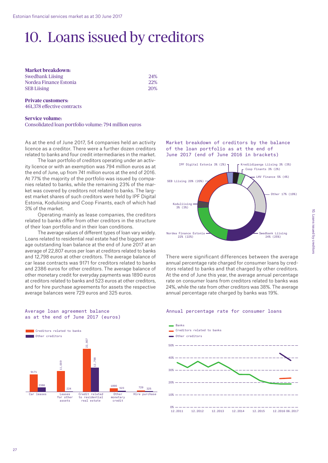# 10. Loans issued by creditors

**Market breakdown:**  Swedbank Liising 24% Nordea Finance Estonia 22% SEB Liising 20%

**Private customers:** 461,378 effective contracts

#### **Service volume:**  Consolidated loan portfolio volume: 794 million euros

As at the end of June 2017, 54 companies held an activity licence as a creditor. There were a further dozen creditors related to banks and four credit intermediaries in the market.

The loan portfolio of creditors operating under an activity licence or with an exemption was 794 million euros as at the end of June, up from 741 million euros at the end of 2016. At 77% the majority of the portfolio was issued by companies related to banks, while the remaining 23% of the market was covered by creditors not related to banks. The largest market shares of such creditors were held by IPF Digital Estonia, Koduliising and Coop Finants, each of which had 3% of the market.

Operating mainly as lease companies, the creditors related to banks differ from other creditors in the structure of their loan portfolio and in their loan conditions.

The average values of different types of loan vary widely. Loans related to residential real estate had the biggest average outstanding loan balance at the end of June 2017 at an average of 22,807 euros per loan at creditors related to banks and 12,798 euros at other creditors. The average balance of car lease contracts was 9171 for creditors related to banks and 2386 euros for other creditors. The average balance of other monetary credit for everyday payments was 1890 euros at creditors related to banks and 523 euros at other creditors, and for hire purchase agreements for assets the respective average balances were 729 euros and 325 euros.

#### Average loan agreement balance as at the end of June 2017 (euros)



Market breakdown of creditors by the balance of the loan portfolio as at the end of June 2017 (end of June 2016 in brackets)



There were significant differences between the average annual percentage rate charged for consumer loans by creditors related to banks and that charged by other creditors. At the end of June this year, the average annual percentage rate on consumer loans from creditors related to banks was 24%, while the rate from other creditors was 38%. The average annual percentage rate charged by banks was 19%.

#### Annual percentage rate for consumer loans

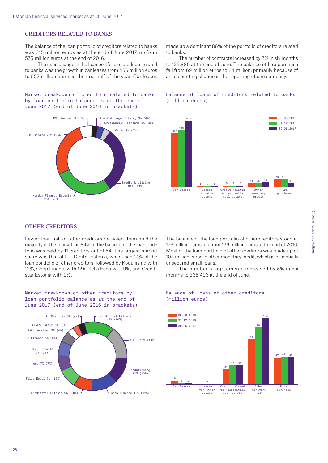#### Creditors related to banks

The balance of the loan portfolio of creditors related to banks was 615 million euros as at the end of June 2017, up from 575 million euros at the end of 2016.

The main change in the loan portfolio of creditors related to banks was the growth in car leases from 456 million euros to 527 million euros in the first half of the year. Car leases

Market breakdown of creditors related to banks by loan portfolio balance as at the end of June 2017 (end of June 2016 in brackets)



made up a dominant 86% of the portfolio of creditors related to banks.

The number of contracts increased by 2% in six months to 125,885 at the end of June. The balance of hire purchase fell from 69 million euros to 34 million, primarily because of an accounting change in the reporting of one company.

Balance of loans of creditors related to banks

(million euros)



#### **OTHER CREDITORS**

Fewer than half of other creditors between them hold the majority of the market, as 84% of the balance of the loan portfolio was held by 11 creditors out of 54. The largest market share was that of IPF Digital Estonia, which had 14% of the loan portfolio of other creditors, followed by Koduliising with 12%, Coop Finants with 12%, Telia Eesti with 9%, and Creditstar Estonia with 9%.

The balance of the loan portfolio of other creditors stood at 179 million euros, up from 166 million euros at the end of 2016. Most of the loan portfolio of other creditors was made up of 104 million euros in other monetary credit, which is essentially unsecured small loans.

The number of agreements increased by 5% in six months to 335,493 at the end of June.

#### Market breakdown of other creditors by loan portfolio balance as at the end of June 2017 (end of June 2016 in brackets)



#### Balance of loans of other creditors (million euros)